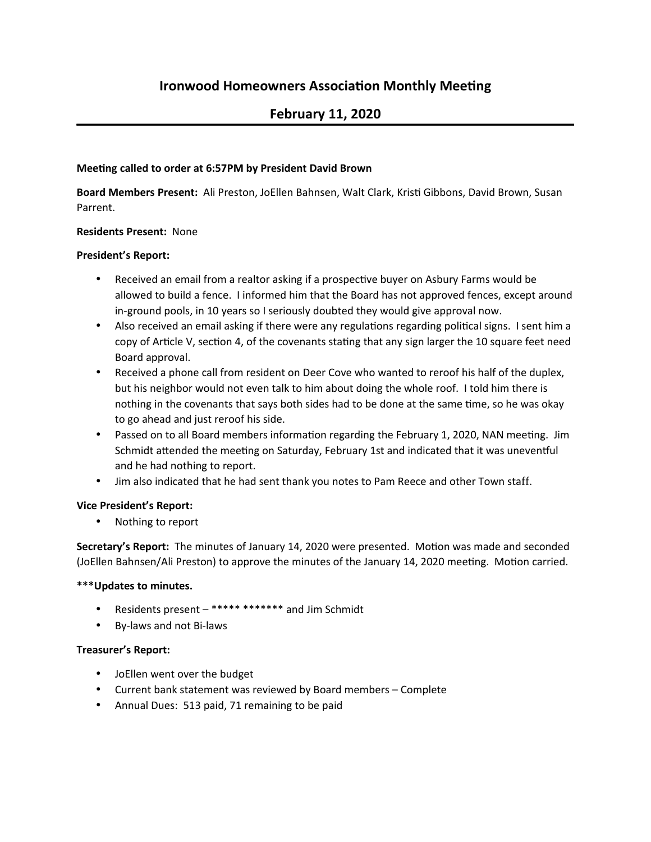# **February 11, 2020**

### **Meeting called to order at 6:57PM by President David Brown**

Board Members Present: Ali Preston, JoEllen Bahnsen, Walt Clark, Kristi Gibbons, David Brown, Susan Parrent.

## **Residents Present: None**

#### **President's Report:**

- Received an email from a realtor asking if a prospective buyer on Asbury Farms would be allowed to build a fence. I informed him that the Board has not approved fences, except around in-ground pools, in 10 years so I seriously doubted they would give approval now.
- Also received an email asking if there were any regulations regarding political signs. I sent him a copy of Article V, section 4, of the covenants stating that any sign larger the 10 square feet need Board approval.
- Received a phone call from resident on Deer Cove who wanted to reroof his half of the duplex, but his neighbor would not even talk to him about doing the whole roof. I told him there is nothing in the covenants that says both sides had to be done at the same time, so he was okay to go ahead and just reroof his side.
- Passed on to all Board members information regarding the February 1, 2020, NAN meeting. Jim Schmidt attended the meeting on Saturday, February 1st and indicated that it was uneventful and he had nothing to report.
- Jim also indicated that he had sent thank you notes to Pam Reece and other Town staff.

#### **Vice President's Report:**

• Nothing to report

**Secretary's Report:** The minutes of January 14, 2020 were presented. Motion was made and seconded (JoEllen Bahnsen/Ali Preston) to approve the minutes of the January 14, 2020 meeting. Motion carried.

#### \*\*\*Updates to minutes.

- Residents present \*\*\*\*\* \*\*\*\*\*\*\* and Jim Schmidt
- By-laws and not Bi-laws

#### **Treasurer's Report:**

- JoEllen went over the budget
- Current bank statement was reviewed by Board members Complete
- Annual Dues: 513 paid, 71 remaining to be paid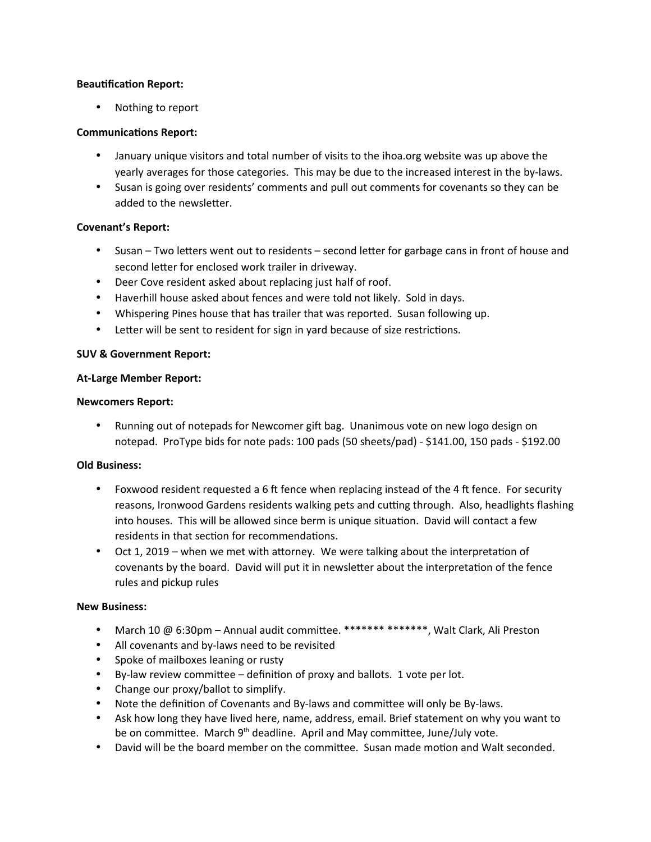#### **Beautification Report:**

• Nothing to report

#### **Communications Report:**

- January unique visitors and total number of visits to the ihoa.org website was up above the yearly averages for those categories. This may be due to the increased interest in the by-laws.
- Susan is going over residents' comments and pull out comments for covenants so they can be added to the newsletter.

#### **Covenant's Report:**

- Susan Two letters went out to residents second letter for garbage cans in front of house and second letter for enclosed work trailer in driveway.
- Deer Cove resident asked about replacing just half of roof.
- Haverhill house asked about fences and were told not likely. Sold in days.
- Whispering Pines house that has trailer that was reported. Susan following up.
- Letter will be sent to resident for sign in yard because of size restrictions.

#### **SUV & Government Report:**

#### **At-Large Member Report:**

#### **Newcomers Report:**

Running out of notepads for Newcomer gift bag. Unanimous vote on new logo design on notepad. ProType bids for note pads: 100 pads (50 sheets/pad) - \$141.00, 150 pads - \$192.00

#### **Old Business:**

- Foxwood resident requested a 6 ft fence when replacing instead of the 4 ft fence. For security reasons, Ironwood Gardens residents walking pets and cutting through. Also, headlights flashing into houses. This will be allowed since berm is unique situation. David will contact a few residents in that section for recommendations.
- Oct 1, 2019 when we met with attorney. We were talking about the interpretation of covenants by the board. David will put it in newsletter about the interpretation of the fence rules and pickup rules

#### **New Business:**

- March 10 @ 6:30pm Annual audit committee. \*\*\*\*\*\*\* \*\*\*\*\*\*\*, Walt Clark, Ali Preston
- All covenants and by-laws need to be revisited
- Spoke of mailboxes leaning or rusty
- By-law review committee  $-$  definition of proxy and ballots. 1 vote per lot.
- Change our proxy/ballot to simplify.
- Note the definition of Covenants and By-laws and committee will only be By-laws.
- Ask how long they have lived here, name, address, email. Brief statement on why you want to be on committee. March  $9<sup>th</sup>$  deadline. April and May committee, June/July vote.
- David will be the board member on the committee. Susan made motion and Walt seconded.